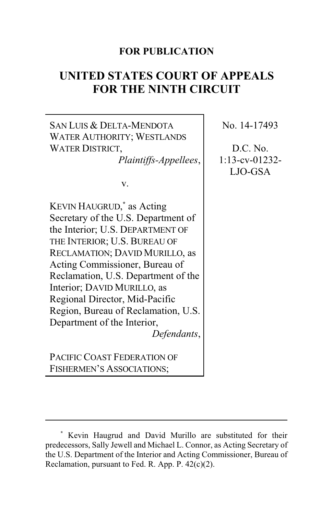# **FOR PUBLICATION**

# **UNITED STATES COURT OF APPEALS FOR THE NINTH CIRCUIT**

SAN LUIS & DELTA-MENDOTA WATER AUTHORITY; WESTLANDS WATER DISTRICT, *Plaintiffs-Appellees*, v. KEVIN HAUGRUD, **\*** as Acting Secretary of the U.S. Department of the Interior; U.S. DEPARTMENT OF THE INTERIOR; U.S. BUREAU OF RECLAMATION; DAVID MURILLO, as Acting Commissioner, Bureau of Reclamation, U.S. Department of the Interior; DAVID MURILLO, as Regional Director, Mid-Pacific Region, Bureau of Reclamation, U.S. Department of the Interior, *Defendants*, PACIFIC COAST FEDERATION OF FISHERMEN'S ASSOCIATIONS; No. 14-17493 D.C. No. 1:13-cv-01232- LJO-GSA

**<sup>\*</sup>** Kevin Haugrud and David Murillo are substituted for their predecessors, Sally Jewell and Michael L. Connor, as Acting Secretary of the U.S. Department of the Interior and Acting Commissioner, Bureau of Reclamation, pursuant to Fed. R. App. P. 42(c)(2).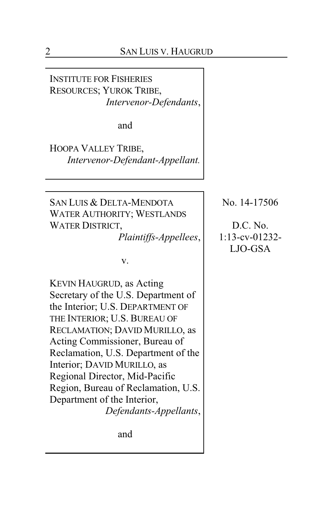INSTITUTE FOR FISHERIES RESOURCES; YUROK TRIBE, *Intervenor-Defendants*,

and

HOOPA VALLEY TRIBE, *Intervenor-Defendant-Appellant.*

SAN LUIS & DELTA-MENDOTA WATER AUTHORITY; WESTLANDS WATER DISTRICT,

*Plaintiffs-Appellees*,

v.

KEVIN HAUGRUD, as Acting Secretary of the U.S. Department of the Interior; U.S. DEPARTMENT OF THE INTERIOR; U.S. BUREAU OF RECLAMATION; DAVID MURILLO, as Acting Commissioner, Bureau of Reclamation, U.S. Department of the Interior; DAVID MURILLO, as Regional Director, Mid-Pacific Region, Bureau of Reclamation, U.S. Department of the Interior, *Defendants-Appellants*,

and

No. 14-17506

D.C. No. 1:13-cv-01232- LJO-GSA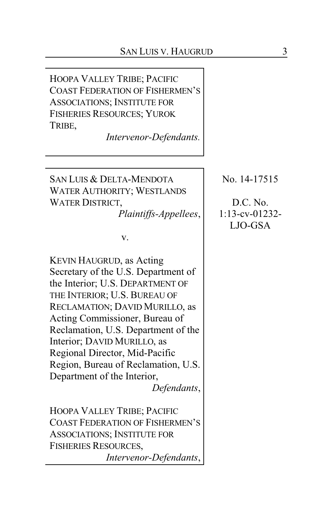HOOPA VALLEY TRIBE; PACIFIC COAST FEDERATION OF FISHERMEN'S ASSOCIATIONS; INSTITUTE FOR FISHERIES RESOURCES; YUROK TRIBE,

*Intervenor-Defendants.*

SAN LUIS & DELTA-MENDOTA WATER AUTHORITY; WESTLANDS WATER DISTRICT,

*Plaintiffs-Appellees*,

v.

KEVIN HAUGRUD, as Acting Secretary of the U.S. Department of the Interior; U.S. DEPARTMENT OF THE INTERIOR; U.S. BUREAU OF RECLAMATION; DAVID MURILLO, as Acting Commissioner, Bureau of Reclamation, U.S. Department of the Interior; DAVID MURILLO, as Regional Director, Mid-Pacific Region, Bureau of Reclamation, U.S. Department of the Interior, *Defendants*,

HOOPA VALLEY TRIBE; PACIFIC COAST FEDERATION OF FISHERMEN'S ASSOCIATIONS; INSTITUTE FOR FISHERIES RESOURCES, *Intervenor-Defendants*,

No. 14-17515

D.C. No. 1:13-cv-01232- LJO-GSA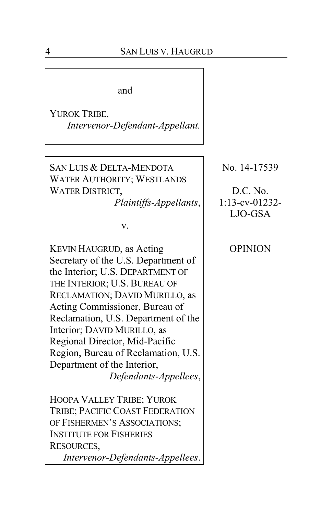and

YUROK TRIBE, *Intervenor-Defendant-Appellant.*

SAN LUIS & DELTA-MENDOTA WATER AUTHORITY; WESTLANDS WATER DISTRICT, *Plaintiffs-Appellants*,

v.

KEVIN HAUGRUD, as Acting Secretary of the U.S. Department of the Interior; U.S. DEPARTMENT OF THE INTERIOR; U.S. BUREAU OF RECLAMATION; DAVID MURILLO, as Acting Commissioner, Bureau of Reclamation, U.S. Department of the Interior; DAVID MURILLO, as Regional Director, Mid-Pacific Region, Bureau of Reclamation, U.S. Department of the Interior, *Defendants-Appellees*,

HOOPA VALLEY TRIBE; YUROK TRIBE; PACIFIC COAST FEDERATION OF FISHERMEN'S ASSOCIATIONS; INSTITUTE FOR FISHERIES RESOURCES,

*Intervenor-Defendants-Appellees*.

No. 14-17539

D.C. No.  $1:13$ -cv-01232-LJO-GSA

# OPINION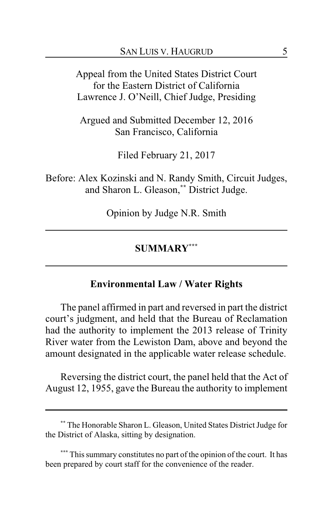Appeal from the United States District Court for the Eastern District of California Lawrence J. O'Neill, Chief Judge, Presiding

Argued and Submitted December 12, 2016 San Francisco, California

Filed February 21, 2017

Before: Alex Kozinski and N. Randy Smith, Circuit Judges, and Sharon L. Gleason,**\*\*** District Judge.

Opinion by Judge N.R. Smith

### **SUMMARY\*\*\***

### **Environmental Law / Water Rights**

The panel affirmed in part and reversed in part the district court's judgment, and held that the Bureau of Reclamation had the authority to implement the 2013 release of Trinity River water from the Lewiston Dam, above and beyond the amount designated in the applicable water release schedule.

Reversing the district court, the panel held that the Act of August 12, 1955, gave the Bureau the authority to implement

**<sup>\*\*</sup>** The Honorable Sharon L. Gleason, United States District Judge for the District of Alaska, sitting by designation.

**<sup>\*\*\*</sup>** This summary constitutes no part of the opinion of the court. It has been prepared by court staff for the convenience of the reader.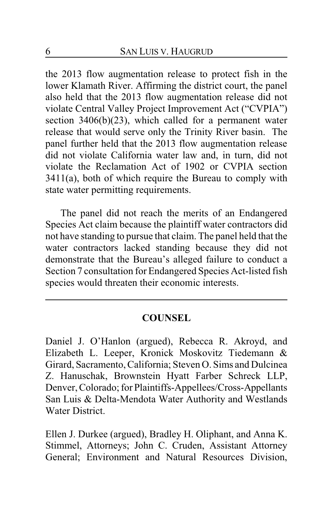the 2013 flow augmentation release to protect fish in the lower Klamath River. Affirming the district court, the panel also held that the 2013 flow augmentation release did not violate Central Valley Project Improvement Act ("CVPIA") section 3406(b)(23), which called for a permanent water release that would serve only the Trinity River basin. The panel further held that the 2013 flow augmentation release did not violate California water law and, in turn, did not violate the Reclamation Act of 1902 or CVPIA section 3411(a), both of which require the Bureau to comply with state water permitting requirements.

The panel did not reach the merits of an Endangered Species Act claim because the plaintiff water contractors did not have standing to pursue that claim. The panel held that the water contractors lacked standing because they did not demonstrate that the Bureau's alleged failure to conduct a Section 7 consultation for Endangered Species Act-listed fish species would threaten their economic interests.

### **COUNSEL**

Daniel J. O'Hanlon (argued), Rebecca R. Akroyd, and Elizabeth L. Leeper, Kronick Moskovitz Tiedemann & Girard, Sacramento, California; Steven O. Sims and Dulcinea Z. Hanuschak, Brownstein Hyatt Farber Schreck LLP, Denver, Colorado; for Plaintiffs-Appellees/Cross-Appellants San Luis & Delta-Mendota Water Authority and Westlands Water District.

Ellen J. Durkee (argued), Bradley H. Oliphant, and Anna K. Stimmel, Attorneys; John C. Cruden, Assistant Attorney General; Environment and Natural Resources Division,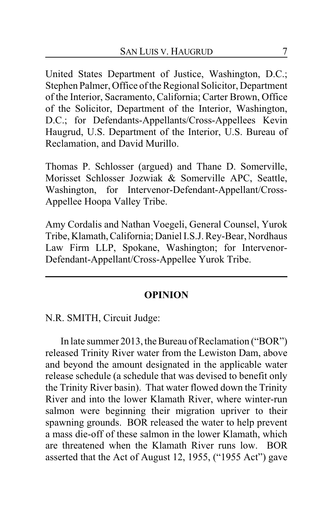United States Department of Justice, Washington, D.C.; Stephen Palmer, Office of the Regional Solicitor, Department of the Interior, Sacramento, California; Carter Brown, Office of the Solicitor, Department of the Interior, Washington, D.C.; for Defendants-Appellants/Cross-Appellees Kevin Haugrud, U.S. Department of the Interior, U.S. Bureau of Reclamation, and David Murillo.

Thomas P. Schlosser (argued) and Thane D. Somerville, Morisset Schlosser Jozwiak & Somerville APC, Seattle, Washington, for Intervenor-Defendant-Appellant/Cross-Appellee Hoopa Valley Tribe.

Amy Cordalis and Nathan Voegeli, General Counsel, Yurok Tribe, Klamath,California; Daniel I.S.J. Rey-Bear, Nordhaus Law Firm LLP, Spokane, Washington; for Intervenor-Defendant-Appellant/Cross-Appellee Yurok Tribe.

### **OPINION**

N.R. SMITH, Circuit Judge:

In late summer 2013, the Bureau of Reclamation ("BOR") released Trinity River water from the Lewiston Dam, above and beyond the amount designated in the applicable water release schedule (a schedule that was devised to benefit only the Trinity River basin). That water flowed down the Trinity River and into the lower Klamath River, where winter-run salmon were beginning their migration upriver to their spawning grounds. BOR released the water to help prevent a mass die-off of these salmon in the lower Klamath, which are threatened when the Klamath River runs low. BOR asserted that the Act of August 12, 1955, ("1955 Act") gave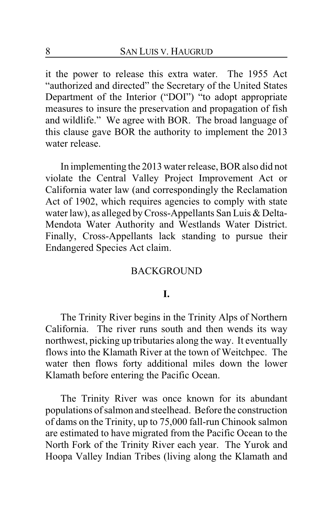it the power to release this extra water. The 1955 Act "authorized and directed" the Secretary of the United States Department of the Interior ("DOI") "to adopt appropriate measures to insure the preservation and propagation of fish and wildlife." We agree with BOR. The broad language of this clause gave BOR the authority to implement the 2013 water release.

In implementing the 2013 water release, BOR also did not violate the Central Valley Project Improvement Act or California water law (and correspondingly the Reclamation Act of 1902, which requires agencies to comply with state water law), as alleged by Cross-Appellants San Luis & Delta-Mendota Water Authority and Westlands Water District. Finally, Cross-Appellants lack standing to pursue their Endangered Species Act claim.

### **BACKGROUND**

#### **I.**

The Trinity River begins in the Trinity Alps of Northern California. The river runs south and then wends its way northwest, picking up tributaries along the way. It eventually flows into the Klamath River at the town of Weitchpec. The water then flows forty additional miles down the lower Klamath before entering the Pacific Ocean.

The Trinity River was once known for its abundant populations of salmon and steelhead. Before the construction of dams on the Trinity, up to 75,000 fall-run Chinook salmon are estimated to have migrated from the Pacific Ocean to the North Fork of the Trinity River each year. The Yurok and Hoopa Valley Indian Tribes (living along the Klamath and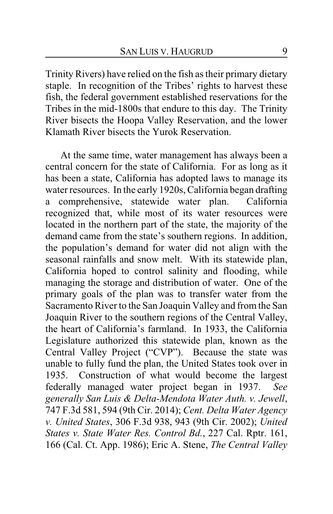Trinity Rivers) have relied on the fish as their primary dietary staple. In recognition of the Tribes' rights to harvest these fish, the federal government established reservations for the Tribes in the mid-1800s that endure to this day. The Trinity River bisects the Hoopa Valley Reservation, and the lower Klamath River bisects the Yurok Reservation.

At the same time, water management has always been a central concern for the state of California. For as long as it has been a state, California has adopted laws to manage its water resources. In the early 1920s, California began drafting a comprehensive, statewide water plan. California recognized that, while most of its water resources were located in the northern part of the state, the majority of the demand came from the state's southern regions. In addition, the population's demand for water did not align with the seasonal rainfalls and snow melt. With its statewide plan, California hoped to control salinity and flooding, while managing the storage and distribution of water. One of the primary goals of the plan was to transfer water from the Sacramento River to the San Joaquin Valley and from the San Joaquin River to the southern regions of the Central Valley, the heart of California's farmland. In 1933, the California Legislature authorized this statewide plan, known as the Central Valley Project ("CVP"). Because the state was unable to fully fund the plan, the United States took over in 1935. Construction of what would become the largest federally managed water project began in 1937. *See generally San Luis & Delta-Mendota Water Auth. v. Jewell*, 747 F.3d 581, 594 (9th Cir. 2014); *Cent. Delta Water Agency v. United States*, 306 F.3d 938, 943 (9th Cir. 2002); *United States v. State Water Res. Control Bd.*, 227 Cal. Rptr. 161, 166 (Cal. Ct. App. 1986); Eric A. Stene, *The Central Valley*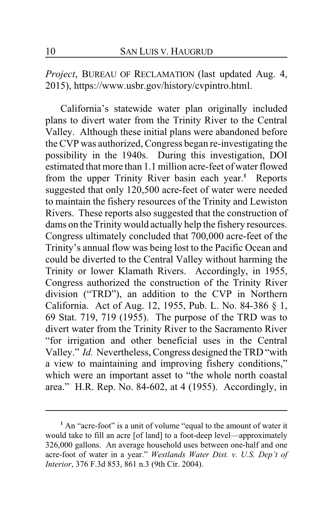*Project*, BUREAU OF RECLAMATION (last updated Aug. 4, 2015), https://www.usbr.gov/history/cvpintro.html.

California's statewide water plan originally included plans to divert water from the Trinity River to the Central Valley. Although these initial plans were abandoned before the CVP was authorized, Congress began re-investigating the possibility in the 1940s. During this investigation, DOI estimated that more than 1.1 million acre-feet of water flowed from the upper Trinity River basin each year.**<sup>1</sup>** Reports suggested that only 120,500 acre-feet of water were needed to maintain the fishery resources of the Trinity and Lewiston Rivers. These reports also suggested that the construction of dams on the Trinity would actually help the fishery resources. Congress ultimately concluded that 700,000 acre-feet of the Trinity's annual flow was being lost to the Pacific Ocean and could be diverted to the Central Valley without harming the Trinity or lower Klamath Rivers. Accordingly, in 1955, Congress authorized the construction of the Trinity River division ("TRD"), an addition to the CVP in Northern California. Act of Aug. 12, 1955, Pub. L. No. 84-386 § 1, 69 Stat. 719, 719 (1955). The purpose of the TRD was to divert water from the Trinity River to the Sacramento River "for irrigation and other beneficial uses in the Central Valley." *Id.* Nevertheless, Congress designed the TRD "with a view to maintaining and improving fishery conditions," which were an important asset to "the whole north coastal area." H.R. Rep. No. 84-602, at 4 (1955). Accordingly, in

**<sup>1</sup>** An "acre-foot" is a unit of volume "equal to the amount of water it would take to fill an acre [of land] to a foot-deep level—approximately 326,000 gallons. An average household uses between one-half and one acre-foot of water in a year." *Westlands Water Dist. v. U.S. Dep't of Interior*, 376 F.3d 853, 861 n.3 (9th Cir. 2004).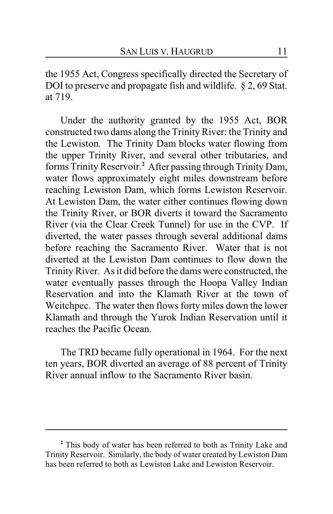the 1955 Act, Congress specifically directed the Secretary of DOI to preserve and propagate fish and wildlife. § 2, 69 Stat. at 719.

Under the authority granted by the 1955 Act, BOR constructed two dams along the Trinity River: the Trinity and the Lewiston. The Trinity Dam blocks water flowing from the upper Trinity River, and several other tributaries, and forms Trinity Reservoir.**<sup>2</sup>** After passing through Trinity Dam, water flows approximately eight miles downstream before reaching Lewiston Dam, which forms Lewiston Reservoir. At Lewiston Dam, the water either continues flowing down the Trinity River, or BOR diverts it toward the Sacramento River (via the Clear Creek Tunnel) for use in the CVP. If diverted, the water passes through several additional dams before reaching the Sacramento River. Water that is not diverted at the Lewiston Dam continues to flow down the Trinity River. As it did before the dams were constructed, the water eventually passes through the Hoopa Valley Indian Reservation and into the Klamath River at the town of Weitchpec. The water then flows forty miles down the lower Klamath and through the Yurok Indian Reservation until it reaches the Pacific Ocean.

The TRD became fully operational in 1964. For the next ten years, BOR diverted an average of 88 percent of Trinity River annual inflow to the Sacramento River basin.

**<sup>2</sup>** This body of water has been referred to both as Trinity Lake and Trinity Reservoir. Similarly, the body of water created by Lewiston Dam has been referred to both as Lewiston Lake and Lewiston Reservoir.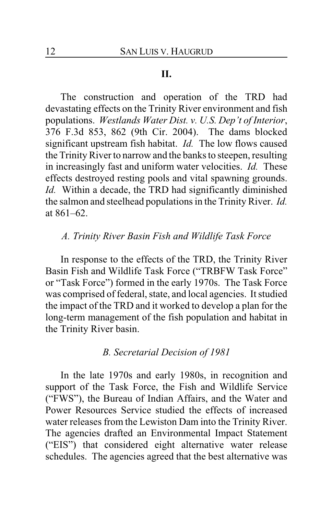### **II.**

The construction and operation of the TRD had devastating effects on the Trinity River environment and fish populations. *Westlands Water Dist. v. U.S. Dep't of Interior*, 376 F.3d 853, 862 (9th Cir. 2004). The dams blocked significant upstream fish habitat. *Id.* The low flows caused the Trinity River to narrow and the banks to steepen, resulting in increasingly fast and uniform water velocities. *Id.* These effects destroyed resting pools and vital spawning grounds. *Id.* Within a decade, the TRD had significantly diminished the salmon and steelhead populations in the Trinity River. *Id.* at 861–62.

# *A. Trinity River Basin Fish and Wildlife Task Force*

In response to the effects of the TRD, the Trinity River Basin Fish and Wildlife Task Force ("TRBFW Task Force" or "Task Force") formed in the early 1970s. The Task Force was comprised of federal, state, and local agencies. It studied the impact of the TRD and it worked to develop a plan for the long-term management of the fish population and habitat in the Trinity River basin.

### *B. Secretarial Decision of 1981*

In the late 1970s and early 1980s, in recognition and support of the Task Force, the Fish and Wildlife Service ("FWS"), the Bureau of Indian Affairs, and the Water and Power Resources Service studied the effects of increased water releases from the Lewiston Dam into the Trinity River. The agencies drafted an Environmental Impact Statement ("EIS") that considered eight alternative water release schedules. The agencies agreed that the best alternative was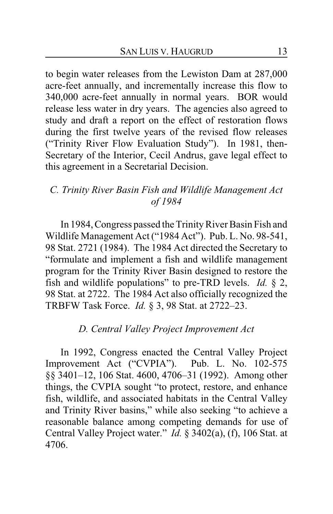to begin water releases from the Lewiston Dam at 287,000 acre-feet annually, and incrementally increase this flow to 340,000 acre-feet annually in normal years. BOR would release less water in dry years. The agencies also agreed to study and draft a report on the effect of restoration flows during the first twelve years of the revised flow releases ("Trinity River Flow Evaluation Study"). In 1981, then-Secretary of the Interior, Cecil Andrus, gave legal effect to this agreement in a Secretarial Decision.

# *C. Trinity River Basin Fish and Wildlife Management Act of 1984*

In 1984, Congress passed the Trinity River Basin Fish and Wildlife Management Act ("1984 Act"). Pub. L. No. 98-541, 98 Stat. 2721 (1984). The 1984 Act directed the Secretary to "formulate and implement a fish and wildlife management program for the Trinity River Basin designed to restore the fish and wildlife populations" to pre-TRD levels. *Id.* § 2, 98 Stat. at 2722. The 1984 Act also officially recognized the TRBFW Task Force. *Id.* § 3, 98 Stat. at 2722–23.

# *D. Central Valley Project Improvement Act*

In 1992, Congress enacted the Central Valley Project Improvement Act ("CVPIA"). Pub. L. No. 102-575 §§ 3401–12, 106 Stat. 4600, 4706–31 (1992). Among other things, the CVPIA sought "to protect, restore, and enhance fish, wildlife, and associated habitats in the Central Valley and Trinity River basins," while also seeking "to achieve a reasonable balance among competing demands for use of Central Valley Project water." *Id.* § 3402(a), (f), 106 Stat. at 4706.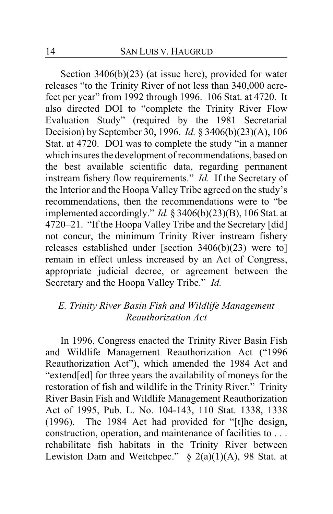Section 3406(b)(23) (at issue here), provided for water releases "to the Trinity River of not less than 340,000 acrefeet per year" from 1992 through 1996. 106 Stat. at 4720. It also directed DOI to "complete the Trinity River Flow Evaluation Study" (required by the 1981 Secretarial Decision) by September 30, 1996. *Id.* § 3406(b)(23)(A), 106 Stat. at 4720. DOI was to complete the study "in a manner which insures the development of recommendations, based on the best available scientific data, regarding permanent instream fishery flow requirements." *Id.* If the Secretary of the Interior and the Hoopa Valley Tribe agreed on the study's recommendations, then the recommendations were to "be implemented accordingly." *Id.* § 3406(b)(23)(B), 106 Stat. at 4720–21. "If the Hoopa Valley Tribe and the Secretary [did] not concur, the minimum Trinity River instream fishery releases established under [section 3406(b)(23) were to] remain in effect unless increased by an Act of Congress, appropriate judicial decree, or agreement between the Secretary and the Hoopa Valley Tribe." *Id.*

# *E. Trinity River Basin Fish and Wildlife Management Reauthorization Act*

In 1996, Congress enacted the Trinity River Basin Fish and Wildlife Management Reauthorization Act ("1996 Reauthorization Act"), which amended the 1984 Act and "extend[ed] for three years the availability of moneys for the restoration of fish and wildlife in the Trinity River." Trinity River Basin Fish and Wildlife Management Reauthorization Act of 1995, Pub. L. No. 104-143, 110 Stat. 1338, 1338 (1996). The 1984 Act had provided for "[t]he design, construction, operation, and maintenance of facilities to . . . rehabilitate fish habitats in the Trinity River between Lewiston Dam and Weitchpec."  $\S$  2(a)(1)(A), 98 Stat. at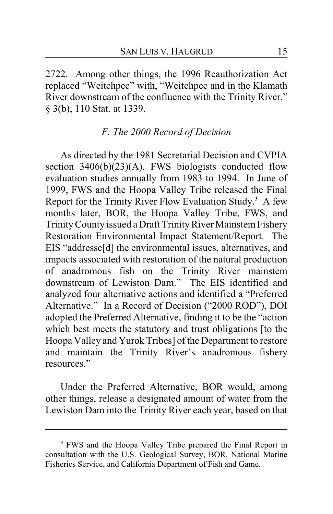2722. Among other things, the 1996 Reauthorization Act replaced "Weitchpec" with, "Weitchpec and in the Klamath River downstream of the confluence with the Trinity River." § 3(b), 110 Stat. at 1339.

#### *F. The 2000 Record of Decision*

As directed by the 1981 Secretarial Decision and CVPIA section  $3406(b)(23)(A)$ , FWS biologists conducted flow evaluation studies annually from 1983 to 1994. In June of 1999, FWS and the Hoopa Valley Tribe released the Final Report for the Trinity River Flow Evaluation Study.**<sup>3</sup>** A few months later, BOR, the Hoopa Valley Tribe, FWS, and Trinity County issued a Draft Trinity River MainstemFishery Restoration Environmental Impact Statement/Report. The EIS "addresse[d] the environmental issues, alternatives, and impacts associated with restoration of the natural production of anadromous fish on the Trinity River mainstem downstream of Lewiston Dam." The EIS identified and analyzed four alternative actions and identified a "Preferred Alternative." In a Record of Decision ("2000 ROD"), DOI adopted the Preferred Alternative, finding it to be the "action which best meets the statutory and trust obligations [to the Hoopa Valley and Yurok Tribes] of the Department to restore and maintain the Trinity River's anadromous fishery resources."

Under the Preferred Alternative, BOR would, among other things, release a designated amount of water from the Lewiston Dam into the Trinity River each year, based on that

**<sup>3</sup>** FWS and the Hoopa Valley Tribe prepared the Final Report in consultation with the U.S. Geological Survey, BOR, National Marine Fisheries Service, and California Department of Fish and Game.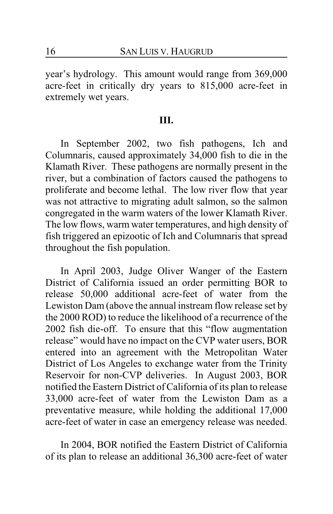year's hydrology. This amount would range from 369,000 acre-feet in critically dry years to 815,000 acre-feet in extremely wet years.

### **III.**

In September 2002, two fish pathogens, Ich and Columnaris, caused approximately 34,000 fish to die in the Klamath River. These pathogens are normally present in the river, but a combination of factors caused the pathogens to proliferate and become lethal. The low river flow that year was not attractive to migrating adult salmon, so the salmon congregated in the warm waters of the lower Klamath River. The low flows, warm water temperatures, and high density of fish triggered an epizootic of Ich and Columnaris that spread throughout the fish population.

In April 2003, Judge Oliver Wanger of the Eastern District of California issued an order permitting BOR to release 50,000 additional acre-feet of water from the Lewiston Dam (above the annual instream flow release set by the 2000 ROD) to reduce the likelihood of a recurrence of the 2002 fish die-off. To ensure that this "flow augmentation release" would have no impact on the CVP water users, BOR entered into an agreement with the Metropolitan Water District of Los Angeles to exchange water from the Trinity Reservoir for non-CVP deliveries. In August 2003, BOR notified the Eastern District of California of its plan to release 33,000 acre-feet of water from the Lewiston Dam as a preventative measure, while holding the additional 17,000 acre-feet of water in case an emergency release was needed.

In 2004, BOR notified the Eastern District of California of its plan to release an additional 36,300 acre-feet of water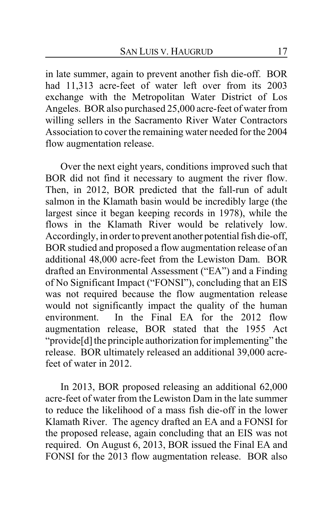in late summer, again to prevent another fish die-off. BOR had 11,313 acre-feet of water left over from its 2003 exchange with the Metropolitan Water District of Los Angeles. BOR also purchased 25,000 acre-feet of water from willing sellers in the Sacramento River Water Contractors Association to cover the remaining water needed for the 2004 flow augmentation release.

Over the next eight years, conditions improved such that BOR did not find it necessary to augment the river flow. Then, in 2012, BOR predicted that the fall-run of adult salmon in the Klamath basin would be incredibly large (the largest since it began keeping records in 1978), while the flows in the Klamath River would be relatively low. Accordingly, in order to prevent another potential fish die-off, BOR studied and proposed a flow augmentation release of an additional 48,000 acre-feet from the Lewiston Dam. BOR drafted an Environmental Assessment ("EA") and a Finding of No Significant Impact ("FONSI"), concluding that an EIS was not required because the flow augmentation release would not significantly impact the quality of the human environment. In the Final EA for the 2012 flow augmentation release, BOR stated that the 1955 Act "provide[d] the principle authorization for implementing" the release. BOR ultimately released an additional 39,000 acrefeet of water in 2012.

In 2013, BOR proposed releasing an additional 62,000 acre-feet of water from the Lewiston Dam in the late summer to reduce the likelihood of a mass fish die-off in the lower Klamath River. The agency drafted an EA and a FONSI for the proposed release, again concluding that an EIS was not required. On August 6, 2013, BOR issued the Final EA and FONSI for the 2013 flow augmentation release. BOR also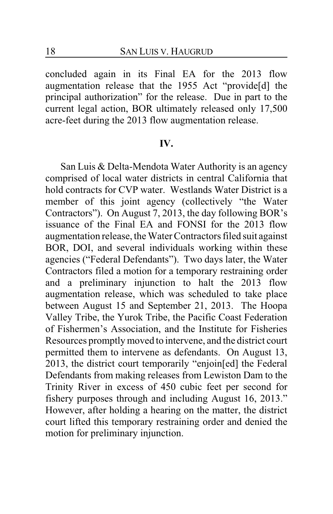concluded again in its Final EA for the 2013 flow augmentation release that the 1955 Act "provide[d] the principal authorization" for the release. Due in part to the current legal action, BOR ultimately released only 17,500 acre-feet during the 2013 flow augmentation release.

#### **IV.**

San Luis & Delta-Mendota Water Authority is an agency comprised of local water districts in central California that hold contracts for CVP water. Westlands Water District is a member of this joint agency (collectively "the Water Contractors"). On August 7, 2013, the day following BOR's issuance of the Final EA and FONSI for the 2013 flow augmentation release, the Water Contractors filed suit against BOR, DOI, and several individuals working within these agencies ("Federal Defendants"). Two days later, the Water Contractors filed a motion for a temporary restraining order and a preliminary injunction to halt the 2013 flow augmentation release, which was scheduled to take place between August 15 and September 21, 2013. The Hoopa Valley Tribe, the Yurok Tribe, the Pacific Coast Federation of Fishermen's Association, and the Institute for Fisheries Resources promptly moved to intervene, and the district court permitted them to intervene as defendants. On August 13, 2013, the district court temporarily "enjoin[ed] the Federal Defendants from making releases from Lewiston Dam to the Trinity River in excess of 450 cubic feet per second for fishery purposes through and including August 16, 2013." However, after holding a hearing on the matter, the district court lifted this temporary restraining order and denied the motion for preliminary injunction.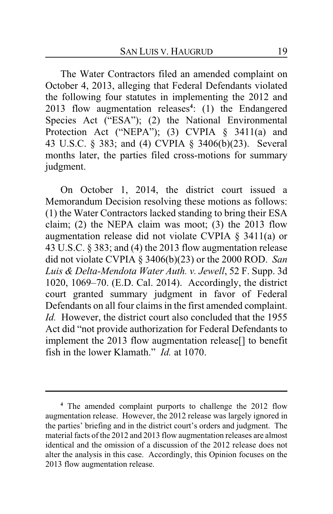The Water Contractors filed an amended complaint on October 4, 2013, alleging that Federal Defendants violated the following four statutes in implementing the 2012 and 2013 flow augmentation releases**<sup>4</sup>** : (1) the Endangered Species Act ("ESA"); (2) the National Environmental Protection Act ("NEPA"); (3) CVPIA § 3411(a) and 43 U.S.C. § 383; and (4) CVPIA § 3406(b)(23). Several months later, the parties filed cross-motions for summary judgment.

On October 1, 2014, the district court issued a Memorandum Decision resolving these motions as follows: (1) the Water Contractors lacked standing to bring their ESA claim; (2) the NEPA claim was moot; (3) the 2013 flow augmentation release did not violate CVPIA § 3411(a) or 43 U.S.C. § 383; and (4) the 2013 flow augmentation release did not violate CVPIA § 3406(b)(23) or the 2000 ROD. *San Luis & Delta-Mendota Water Auth. v. Jewell*, 52 F. Supp. 3d 1020, 1069–70. (E.D. Cal. 2014). Accordingly, the district court granted summary judgment in favor of Federal Defendants on all four claims in the first amended complaint. *Id.* However, the district court also concluded that the 1955 Act did "not provide authorization for Federal Defendants to implement the 2013 flow augmentation release[] to benefit fish in the lower Klamath." *Id.* at 1070.

**<sup>4</sup>** The amended complaint purports to challenge the 2012 flow augmentation release. However, the 2012 release was largely ignored in the parties' briefing and in the district court's orders and judgment. The material facts of the 2012 and 2013 flow augmentation releases are almost identical and the omission of a discussion of the 2012 release does not alter the analysis in this case. Accordingly, this Opinion focuses on the 2013 flow augmentation release.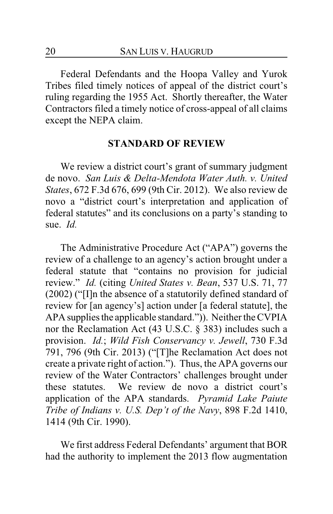Federal Defendants and the Hoopa Valley and Yurok Tribes filed timely notices of appeal of the district court's ruling regarding the 1955 Act. Shortly thereafter, the Water Contractors filed a timely notice of cross-appeal of all claims except the NEPA claim.

### **STANDARD OF REVIEW**

We review a district court's grant of summary judgment de novo. *San Luis & Delta-Mendota Water Auth. v. United States*, 672 F.3d 676, 699 (9th Cir. 2012). We also review de novo a "district court's interpretation and application of federal statutes" and its conclusions on a party's standing to sue. *Id.*

The Administrative Procedure Act ("APA") governs the review of a challenge to an agency's action brought under a federal statute that "contains no provision for judicial review." *Id.* (citing *United States v. Bean*, 537 U.S. 71, 77 (2002) ("[I]n the absence of a statutorily defined standard of review for [an agency's] action under [a federal statute], the APA supplies the applicable standard.")). Neither the CVPIA nor the Reclamation Act (43 U.S.C. § 383) includes such a provision. *Id.*; *Wild Fish Conservancy v. Jewell*, 730 F.3d 791, 796 (9th Cir. 2013) ("[T]he Reclamation Act does not create a private right of action."). Thus, the APA governs our review of the Water Contractors' challenges brought under these statutes. We review de novo a district court's application of the APA standards. *Pyramid Lake Paiute Tribe of Indians v. U.S. Dep't of the Navy*, 898 F.2d 1410, 1414 (9th Cir. 1990).

We first address Federal Defendants' argument that BOR had the authority to implement the 2013 flow augmentation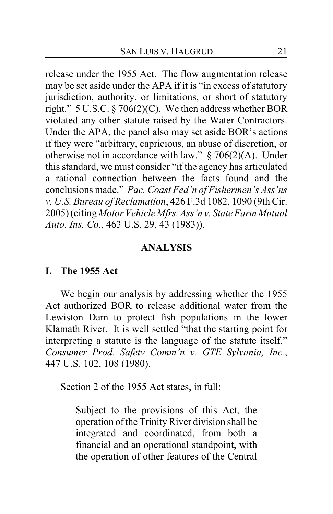release under the 1955 Act. The flow augmentation release may be set aside under the APA if it is "in excess of statutory jurisdiction, authority, or limitations, or short of statutory right." 5 U.S.C. § 706(2)(C). We then address whether BOR violated any other statute raised by the Water Contractors. Under the APA, the panel also may set aside BOR's actions if they were "arbitrary, capricious, an abuse of discretion, or otherwise not in accordance with law." § 706(2)(A). Under this standard, we must consider "if the agency has articulated a rational connection between the facts found and the conclusions made." *Pac. Coast Fed'n of Fishermen's Ass'ns v. U.S. Bureau of Reclamation*, 426 F.3d 1082, 1090 (9th Cir. 2005) (citing *Motor Vehicle Mfrs. Ass'n v. State Farm Mutual Auto. Ins. Co.*, 463 U.S. 29, 43 (1983)).

### **ANALYSIS**

### **I. The 1955 Act**

We begin our analysis by addressing whether the 1955 Act authorized BOR to release additional water from the Lewiston Dam to protect fish populations in the lower Klamath River. It is well settled "that the starting point for interpreting a statute is the language of the statute itself." *Consumer Prod. Safety Comm'n v. GTE Sylvania, Inc.*, 447 U.S. 102, 108 (1980).

Section 2 of the 1955 Act states, in full:

Subject to the provisions of this Act, the operation of the Trinity River division shall be integrated and coordinated, from both a financial and an operational standpoint, with the operation of other features of the Central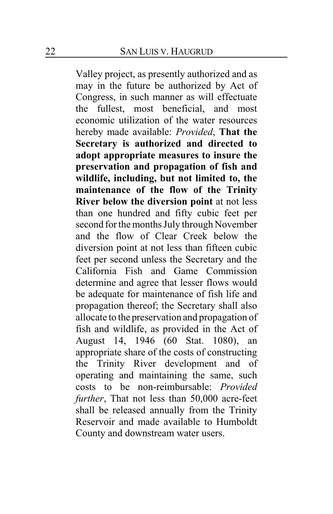Valley project, as presently authorized and as may in the future be authorized by Act of Congress, in such manner as will effectuate the fullest, most beneficial, and most economic utilization of the water resources hereby made available: *Provided*, **That the Secretary is authorized and directed to adopt appropriate measures to insure the preservation and propagation of fish and wildlife, including, but not limited to, the maintenance of the flow of the Trinity River below the diversion point** at not less than one hundred and fifty cubic feet per second for the months July through November and the flow of Clear Creek below the diversion point at not less than fifteen cubic feet per second unless the Secretary and the California Fish and Game Commission determine and agree that lesser flows would be adequate for maintenance of fish life and propagation thereof; the Secretary shall also allocate to the preservation and propagation of fish and wildlife, as provided in the Act of August 14, 1946 (60 Stat. 1080), an appropriate share of the costs of constructing the Trinity River development and of operating and maintaining the same, such costs to be non-reimbursable: *Provided further*, That not less than 50,000 acre-feet shall be released annually from the Trinity Reservoir and made available to Humboldt County and downstream water users.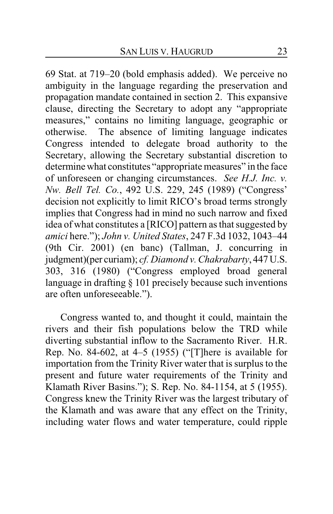69 Stat. at 719–20 (bold emphasis added). We perceive no ambiguity in the language regarding the preservation and propagation mandate contained in section 2. This expansive clause, directing the Secretary to adopt any "appropriate measures," contains no limiting language, geographic or otherwise. The absence of limiting language indicates Congress intended to delegate broad authority to the Secretary, allowing the Secretary substantial discretion to determine what constitutes "appropriate measures" in the face of unforeseen or changing circumstances. *See H.J. Inc. v. Nw. Bell Tel. Co.*, 492 U.S. 229, 245 (1989) ("Congress' decision not explicitly to limit RICO's broad terms strongly implies that Congress had in mind no such narrow and fixed idea of what constitutes a [RICO] pattern as that suggested by *amici* here."); *John v. United States*, 247 F.3d 1032, 1043–44 (9th Cir. 2001) (en banc) (Tallman, J. concurring in judgment)(per curiam); *cf. Diamond v.Chakrabarty*, 447 U.S. 303, 316 (1980) ("Congress employed broad general language in drafting § 101 precisely because such inventions are often unforeseeable.").

Congress wanted to, and thought it could, maintain the rivers and their fish populations below the TRD while diverting substantial inflow to the Sacramento River. H.R. Rep. No. 84-602, at 4–5 (1955) ("[T]here is available for importation from the Trinity River water that is surplus to the present and future water requirements of the Trinity and Klamath River Basins."); S. Rep. No. 84-1154, at 5 (1955). Congress knew the Trinity River was the largest tributary of the Klamath and was aware that any effect on the Trinity, including water flows and water temperature, could ripple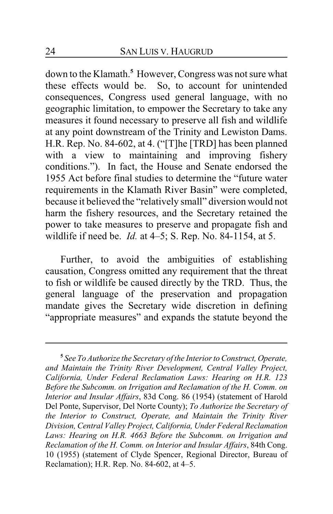down to the Klamath.**<sup>5</sup>** However, Congress was not sure what these effects would be. So, to account for unintended consequences, Congress used general language, with no geographic limitation, to empower the Secretary to take any measures it found necessary to preserve all fish and wildlife at any point downstream of the Trinity and Lewiston Dams. H.R. Rep. No. 84-602, at 4. ("[T]he [TRD] has been planned with a view to maintaining and improving fishery conditions."). In fact, the House and Senate endorsed the 1955 Act before final studies to determine the "future water requirements in the Klamath River Basin" were completed, because it believed the "relatively small" diversion would not harm the fishery resources, and the Secretary retained the power to take measures to preserve and propagate fish and wildlife if need be. *Id.* at 4–5; S. Rep. No. 84-1154, at 5.

Further, to avoid the ambiguities of establishing causation, Congress omitted any requirement that the threat to fish or wildlife be caused directly by the TRD. Thus, the general language of the preservation and propagation mandate gives the Secretary wide discretion in defining "appropriate measures" and expands the statute beyond the

**<sup>5</sup>** *See To Authorize the Secretary of the Interior to Construct, Operate, and Maintain the Trinity River Development, Central Valley Project, California, Under Federal Reclamation Laws: Hearing on H.R. 123 Before the Subcomm. on Irrigation and Reclamation of the H. Comm. on Interior and Insular Affairs*, 83d Cong. 86 (1954) (statement of Harold Del Ponte, Supervisor, Del Norte County); *To Authorize the Secretary of the Interior to Construct, Operate, and Maintain the Trinity River Division, Central Valley Project, California, Under Federal Reclamation Laws: Hearing on H.R. 4663 Before the Subcomm. on Irrigation and Reclamation of the H. Comm. on Interior and Insular Affairs*, 84th Cong. 10 (1955) (statement of Clyde Spencer, Regional Director, Bureau of Reclamation); H.R. Rep. No. 84-602, at 4–5.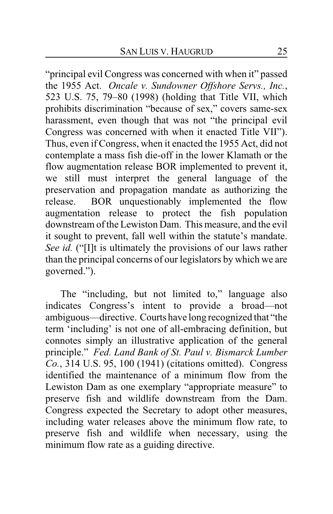"principal evil Congress was concerned with when it" passed the 1955 Act. *Oncale v. Sundowner Offshore Servs., Inc.*, 523 U.S. 75, 79–80 (1998) (holding that Title VII, which prohibits discrimination "because of sex," covers same-sex harassment, even though that was not "the principal evil Congress was concerned with when it enacted Title VII"). Thus, even if Congress, when it enacted the 1955 Act, did not contemplate a mass fish die-off in the lower Klamath or the flow augmentation release BOR implemented to prevent it, we still must interpret the general language of the preservation and propagation mandate as authorizing the release. BOR unquestionably implemented the flow augmentation release to protect the fish population downstream of the Lewiston Dam. This measure, and the evil it sought to prevent, fall well within the statute's mandate. *See id.* ("[I]t is ultimately the provisions of our laws rather than the principal concerns of our legislators by which we are governed.").

The "including, but not limited to," language also indicates Congress's intent to provide a broad—not ambiguous—directive. Courts have long recognized that "the term 'including' is not one of all-embracing definition, but connotes simply an illustrative application of the general principle." *Fed. Land Bank of St. Paul v. Bismarck Lumber Co.*, 314 U.S. 95, 100 (1941) (citations omitted). Congress identified the maintenance of a minimum flow from the Lewiston Dam as one exemplary "appropriate measure" to preserve fish and wildlife downstream from the Dam. Congress expected the Secretary to adopt other measures, including water releases above the minimum flow rate, to preserve fish and wildlife when necessary, using the minimum flow rate as a guiding directive.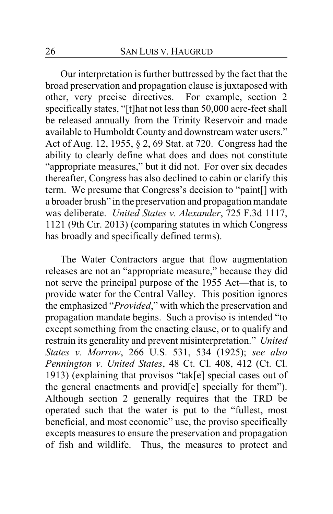Our interpretation is further buttressed by the fact that the broad preservation and propagation clause is juxtaposed with other, very precise directives. For example, section 2 specifically states, "[t]hat not less than 50,000 acre-feet shall be released annually from the Trinity Reservoir and made available to Humboldt County and downstream water users." Act of Aug. 12, 1955, § 2, 69 Stat. at 720. Congress had the ability to clearly define what does and does not constitute "appropriate measures," but it did not. For over six decades thereafter, Congress has also declined to cabin or clarify this term. We presume that Congress's decision to "paint[] with a broader brush" in the preservation and propagation mandate was deliberate. *United States v. Alexander*, 725 F.3d 1117, 1121 (9th Cir. 2013) (comparing statutes in which Congress has broadly and specifically defined terms).

The Water Contractors argue that flow augmentation releases are not an "appropriate measure," because they did not serve the principal purpose of the 1955 Act—that is, to provide water for the Central Valley. This position ignores the emphasized "*Provided*," with which the preservation and propagation mandate begins. Such a proviso is intended "to except something from the enacting clause, or to qualify and restrain its generality and prevent misinterpretation." *United States v. Morrow*, 266 U.S. 531, 534 (1925); *see also Pennington v. United States*, 48 Ct. Cl. 408, 412 (Ct. Cl. 1913) (explaining that provisos "tak[e] special cases out of the general enactments and provid[e] specially for them"). Although section 2 generally requires that the TRD be operated such that the water is put to the "fullest, most beneficial, and most economic" use, the proviso specifically excepts measures to ensure the preservation and propagation of fish and wildlife. Thus, the measures to protect and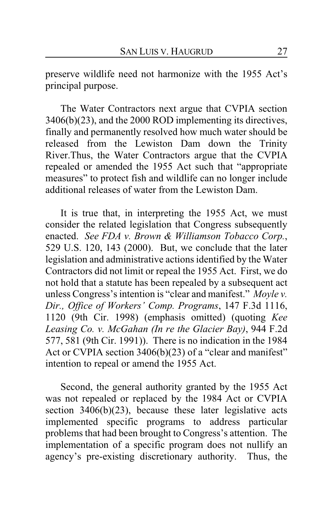preserve wildlife need not harmonize with the 1955 Act's principal purpose.

The Water Contractors next argue that CVPIA section 3406(b)(23), and the 2000 ROD implementing its directives, finally and permanently resolved how much water should be released from the Lewiston Dam down the Trinity River.Thus, the Water Contractors argue that the CVPIA repealed or amended the 1955 Act such that "appropriate measures" to protect fish and wildlife can no longer include additional releases of water from the Lewiston Dam.

It is true that, in interpreting the 1955 Act, we must consider the related legislation that Congress subsequently enacted. *See FDA v. Brown & Williamson Tobacco Corp.*, 529 U.S. 120, 143 (2000). But, we conclude that the later legislation and administrative actions identified by the Water Contractors did not limit or repeal the 1955 Act. First, we do not hold that a statute has been repealed by a subsequent act unless Congress's intention is "clear and manifest." *Moyle v. Dir., Office of Workers' Comp. Programs*, 147 F.3d 1116, 1120 (9th Cir. 1998) (emphasis omitted) (quoting *Kee Leasing Co. v. McGahan (In re the Glacier Bay)*, 944 F.2d 577, 581 (9th Cir. 1991)). There is no indication in the 1984 Act or CVPIA section 3406(b)(23) of a "clear and manifest" intention to repeal or amend the 1955 Act.

Second, the general authority granted by the 1955 Act was not repealed or replaced by the 1984 Act or CVPIA section  $3406(b)(23)$ , because these later legislative acts implemented specific programs to address particular problems that had been brought to Congress's attention. The implementation of a specific program does not nullify an agency's pre-existing discretionary authority. Thus, the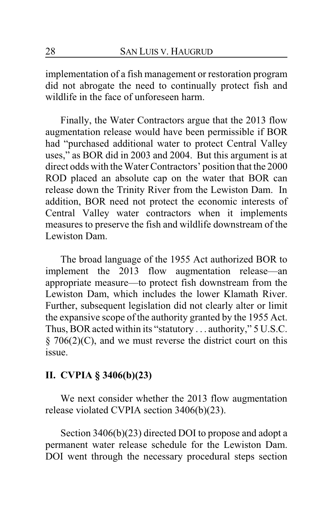implementation of a fish management or restoration program did not abrogate the need to continually protect fish and wildlife in the face of unforeseen harm.

Finally, the Water Contractors argue that the 2013 flow augmentation release would have been permissible if BOR had "purchased additional water to protect Central Valley uses," as BOR did in 2003 and 2004. But this argument is at direct odds with the Water Contractors' position that the 2000 ROD placed an absolute cap on the water that BOR can release down the Trinity River from the Lewiston Dam. In addition, BOR need not protect the economic interests of Central Valley water contractors when it implements measures to preserve the fish and wildlife downstream of the Lewiston Dam.

The broad language of the 1955 Act authorized BOR to implement the 2013 flow augmentation release—an appropriate measure—to protect fish downstream from the Lewiston Dam, which includes the lower Klamath River. Further, subsequent legislation did not clearly alter or limit the expansive scope of the authority granted by the 1955 Act. Thus, BOR acted within its "statutory . . . authority," 5 U.S.C.  $\S$  706(2)(C), and we must reverse the district court on this issue.

# **II. CVPIA § 3406(b)(23)**

We next consider whether the 2013 flow augmentation release violated CVPIA section 3406(b)(23).

Section 3406(b)(23) directed DOI to propose and adopt a permanent water release schedule for the Lewiston Dam. DOI went through the necessary procedural steps section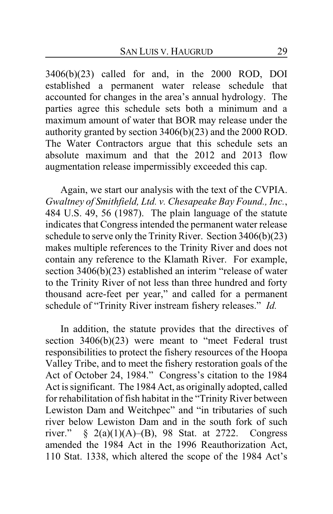3406(b)(23) called for and, in the 2000 ROD, DOI established a permanent water release schedule that accounted for changes in the area's annual hydrology. The parties agree this schedule sets both a minimum and a maximum amount of water that BOR may release under the authority granted by section 3406(b)(23) and the 2000 ROD. The Water Contractors argue that this schedule sets an absolute maximum and that the 2012 and 2013 flow augmentation release impermissibly exceeded this cap.

Again, we start our analysis with the text of the CVPIA. *Gwaltney of Smithfield, Ltd. v. Chesapeake Bay Found., Inc.*, 484 U.S. 49, 56 (1987). The plain language of the statute indicates that Congress intended the permanent water release schedule to serve only the Trinity River. Section 3406(b)(23) makes multiple references to the Trinity River and does not contain any reference to the Klamath River. For example, section 3406(b)(23) established an interim "release of water to the Trinity River of not less than three hundred and forty thousand acre-feet per year," and called for a permanent schedule of "Trinity River instream fishery releases." *Id.*

In addition, the statute provides that the directives of section 3406(b)(23) were meant to "meet Federal trust responsibilities to protect the fishery resources of the Hoopa Valley Tribe, and to meet the fishery restoration goals of the Act of October 24, 1984." Congress's citation to the 1984 Act is significant. The 1984 Act, as originally adopted, called for rehabilitation of fish habitat in the "Trinity River between Lewiston Dam and Weitchpec" and "in tributaries of such river below Lewiston Dam and in the south fork of such river."  $\S$  2(a)(1)(A)–(B), 98 Stat. at 2722. Congress amended the 1984 Act in the 1996 Reauthorization Act, 110 Stat. 1338, which altered the scope of the 1984 Act's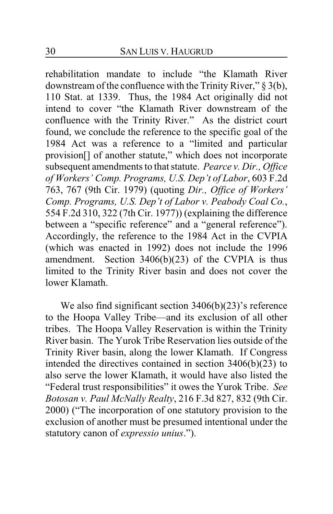rehabilitation mandate to include "the Klamath River downstream of the confluence with the Trinity River," § 3(b), 110 Stat. at 1339. Thus, the 1984 Act originally did not intend to cover "the Klamath River downstream of the confluence with the Trinity River." As the district court found, we conclude the reference to the specific goal of the 1984 Act was a reference to a "limited and particular provision[] of another statute," which does not incorporate subsequent amendments to that statute. *Pearce v. Dir., Office of Workers' Comp. Programs, U.S. Dep't of Labor*, 603 F.2d 763, 767 (9th Cir. 1979) (quoting *Dir., Office of Workers' Comp. Programs, U.S. Dep't of Labor v. Peabody Coal Co.*, 554 F.2d 310, 322 (7th Cir. 1977)) (explaining the difference between a "specific reference" and a "general reference"). Accordingly, the reference to the 1984 Act in the CVPIA (which was enacted in 1992) does not include the 1996 amendment. Section 3406(b)(23) of the CVPIA is thus limited to the Trinity River basin and does not cover the lower Klamath.

We also find significant section 3406(b)(23)'s reference to the Hoopa Valley Tribe—and its exclusion of all other tribes. The Hoopa Valley Reservation is within the Trinity River basin. The Yurok Tribe Reservation lies outside of the Trinity River basin, along the lower Klamath. If Congress intended the directives contained in section 3406(b)(23) to also serve the lower Klamath, it would have also listed the "Federal trust responsibilities" it owes the Yurok Tribe. *See Botosan v. Paul McNally Realty*, 216 F.3d 827, 832 (9th Cir. 2000) ("The incorporation of one statutory provision to the exclusion of another must be presumed intentional under the statutory canon of *expressio unius*.").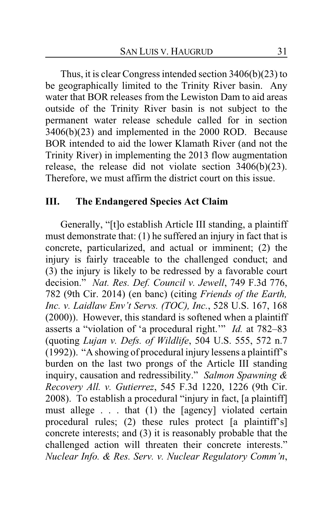Thus, it is clear Congress intended section 3406(b)(23) to be geographically limited to the Trinity River basin. Any water that BOR releases from the Lewiston Dam to aid areas outside of the Trinity River basin is not subject to the permanent water release schedule called for in section 3406(b)(23) and implemented in the 2000 ROD. Because BOR intended to aid the lower Klamath River (and not the Trinity River) in implementing the 2013 flow augmentation release, the release did not violate section 3406(b)(23). Therefore, we must affirm the district court on this issue.

# **III. The Endangered Species Act Claim**

Generally, "[t]o establish Article III standing, a plaintiff must demonstrate that: (1) he suffered an injury in fact that is concrete, particularized, and actual or imminent; (2) the injury is fairly traceable to the challenged conduct; and (3) the injury is likely to be redressed by a favorable court decision." *Nat. Res. Def. Council v. Jewell*, 749 F.3d 776, 782 (9th Cir. 2014) (en banc) (citing *Friends of the Earth, Inc. v. Laidlaw Env't Servs. (TOC), Inc.*, 528 U.S. 167, 168 (2000)). However, this standard is softened when a plaintiff asserts a "violation of 'a procedural right.'" *Id.* at 782–83 (quoting *Lujan v. Defs. of Wildlife*, 504 U.S. 555, 572 n.7 (1992)). "A showing of procedural injury lessens a plaintiff's burden on the last two prongs of the Article III standing inquiry, causation and redressibility." *Salmon Spawning & Recovery All. v. Gutierrez*, 545 F.3d 1220, 1226 (9th Cir. 2008). To establish a procedural "injury in fact, [a plaintiff] must allege . . . that (1) the [agency] violated certain procedural rules; (2) these rules protect [a plaintiff's] concrete interests; and (3) it is reasonably probable that the challenged action will threaten their concrete interests." *Nuclear Info. & Res. Serv. v. Nuclear Regulatory Comm'n*,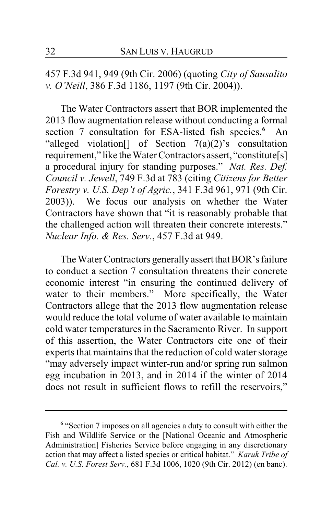457 F.3d 941, 949 (9th Cir. 2006) (quoting *City of Sausalito v. O'Neill*, 386 F.3d 1186, 1197 (9th Cir. 2004)).

The Water Contractors assert that BOR implemented the 2013 flow augmentation release without conducting a formal section 7 consultation for ESA-listed fish species. **<sup>6</sup>** An "alleged violation $\begin{bmatrix} \end{bmatrix}$  of Section  $7(a)(2)$ 's consultation requirement," like theWater Contractors assert, "constitute[s] a procedural injury for standing purposes." *Nat. Res. Def. Council v. Jewell*, 749 F.3d at 783 (citing *Citizens for Better Forestry v. U.S. Dep't of Agric.*, 341 F.3d 961, 971 (9th Cir. 2003)). We focus our analysis on whether the Water Contractors have shown that "it is reasonably probable that the challenged action will threaten their concrete interests." *Nuclear Info. & Res. Serv.*, 457 F.3d at 949.

The Water Contractors generally assert that BOR's failure to conduct a section 7 consultation threatens their concrete economic interest "in ensuring the continued delivery of water to their members." More specifically, the Water Contractors allege that the 2013 flow augmentation release would reduce the total volume of water available to maintain cold water temperatures in the Sacramento River. In support of this assertion, the Water Contractors cite one of their experts that maintains that the reduction of cold water storage "may adversely impact winter-run and/or spring run salmon egg incubation in 2013, and in 2014 if the winter of 2014 does not result in sufficient flows to refill the reservoirs,"

<sup>&</sup>lt;sup>6</sup> "Section 7 imposes on all agencies a duty to consult with either the Fish and Wildlife Service or the [National Oceanic and Atmospheric Administration] Fisheries Service before engaging in any discretionary action that may affect a listed species or critical habitat." *Karuk Tribe of Cal. v. U.S. Forest Serv.*, 681 F.3d 1006, 1020 (9th Cir. 2012) (en banc).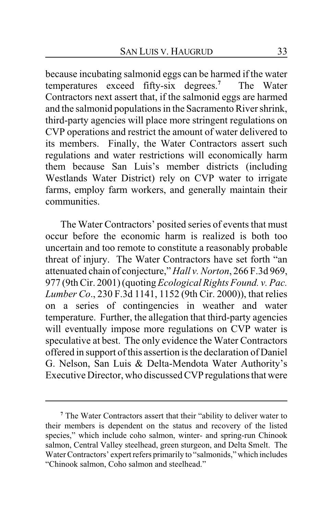because incubating salmonid eggs can be harmed if the water temperatures exceed fifty-six degrees.**<sup>7</sup>** The Water Contractors next assert that, if the salmonid eggs are harmed and the salmonid populations in the Sacramento River shrink, third-party agencies will place more stringent regulations on CVP operations and restrict the amount of water delivered to its members. Finally, the Water Contractors assert such regulations and water restrictions will economically harm them because San Luis's member districts (including Westlands Water District) rely on CVP water to irrigate farms, employ farm workers, and generally maintain their communities.

The Water Contractors' posited series of events that must occur before the economic harm is realized is both too uncertain and too remote to constitute a reasonably probable threat of injury. The Water Contractors have set forth "an attenuated chain of conjecture," *Hall v. Norton*, 266 F.3d 969, 977 (9th Cir. 2001) (quoting *Ecological Rights Found. v. Pac. Lumber Co*., 230 F.3d 1141, 1152 (9th Cir. 2000)), that relies on a series of contingencies in weather and water temperature. Further, the allegation that third-party agencies will eventually impose more regulations on CVP water is speculative at best. The only evidence the Water Contractors offered in support of this assertion is the declaration of Daniel G. Nelson, San Luis & Delta-Mendota Water Authority's Executive Director, who discussed CVP regulations that were

**<sup>7</sup>** The Water Contractors assert that their "ability to deliver water to their members is dependent on the status and recovery of the listed species," which include coho salmon, winter- and spring-run Chinook salmon, Central Valley steelhead, green sturgeon, and Delta Smelt. The Water Contractors' expert refers primarily to "salmonids," which includes "Chinook salmon, Coho salmon and steelhead."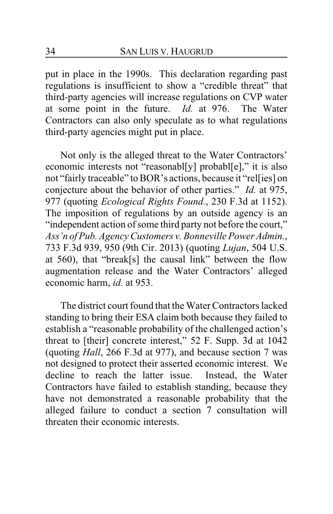put in place in the 1990s. This declaration regarding past regulations is insufficient to show a "credible threat" that third-party agencies will increase regulations on CVP water at some point in the future. *Id.* at 976. The Water Contractors can also only speculate as to what regulations third-party agencies might put in place.

Not only is the alleged threat to the Water Contractors' economic interests not "reasonabl[y] probabl[e]," it is also not "fairly traceable" to BOR's actions, because it "rel[ies] on conjecture about the behavior of other parties." *Id.* at 975, 977 (quoting *Ecological Rights Found.*, 230 F.3d at 1152). The imposition of regulations by an outside agency is an "independent action of some third party not before the court," *Ass'n of Pub. Agency Customers v. Bonneville Power Admin.*, 733 F.3d 939, 950 (9th Cir. 2013) (quoting *Lujan*, 504 U.S. at 560), that "break[s] the causal link" between the flow augmentation release and the Water Contractors' alleged economic harm, *id.* at 953.

The district court found that the Water Contractors lacked standing to bring their ESA claim both because they failed to establish a "reasonable probability of the challenged action's threat to [their] concrete interest," 52 F. Supp. 3d at 1042 (quoting *Hall*, 266 F.3d at 977), and because section 7 was not designed to protect their asserted economic interest. We decline to reach the latter issue. Instead, the Water Contractors have failed to establish standing, because they have not demonstrated a reasonable probability that the alleged failure to conduct a section 7 consultation will threaten their economic interests.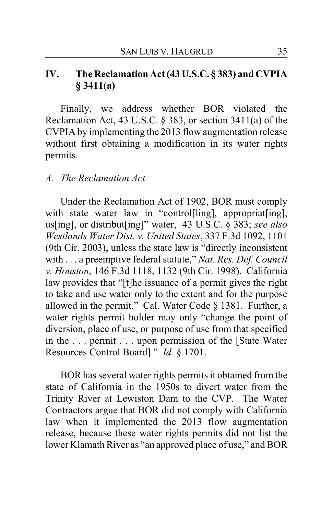# **IV. The Reclamation Act (43 U.S.C. § 383) and CVPIA § 3411(a)**

Finally, we address whether BOR violated the Reclamation Act, 43 U.S.C. § 383, or section 3411(a) of the CVPIA by implementing the 2013 flow augmentation release without first obtaining a modification in its water rights permits.

### *A. The Reclamation Act*

Under the Reclamation Act of 1902, BOR must comply with state water law in "control[ling], appropriat[ing], us[ing], or distribut[ing]" water, 43 U.S.C. § 383; *see also Westlands Water Dist. v. United States*, 337 F.3d 1092, 1101 (9th Cir. 2003), unless the state law is "directly inconsistent with . . . a preemptive federal statute," *Nat. Res. Def. Council v. Houston*, 146 F.3d 1118, 1132 (9th Cir. 1998). California law provides that "[t]he issuance of a permit gives the right to take and use water only to the extent and for the purpose allowed in the permit." Cal. Water Code § 1381. Further, a water rights permit holder may only "change the point of diversion, place of use, or purpose of use from that specified in the . . . permit . . . upon permission of the [State Water Resources Control Board]." *Id.* § 1701.

BOR has several water rights permits it obtained from the state of California in the 1950s to divert water from the Trinity River at Lewiston Dam to the CVP. The Water Contractors argue that BOR did not comply with California law when it implemented the 2013 flow augmentation release, because these water rights permits did not list the lower Klamath River as "an approved place of use," and BOR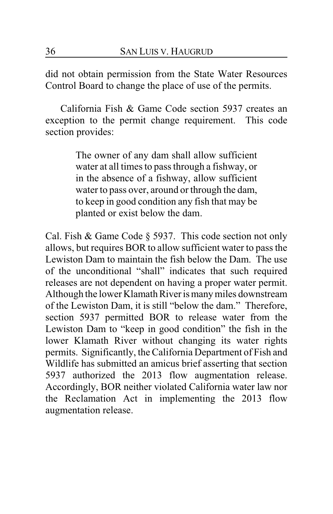did not obtain permission from the State Water Resources Control Board to change the place of use of the permits.

California Fish & Game Code section 5937 creates an exception to the permit change requirement. This code section provides:

> The owner of any dam shall allow sufficient water at all times to pass through a fishway, or in the absence of a fishway, allow sufficient water to pass over, around or through the dam, to keep in good condition any fish that may be planted or exist below the dam.

Cal. Fish & Game Code § 5937. This code section not only allows, but requires BOR to allow sufficient water to pass the Lewiston Dam to maintain the fish below the Dam. The use of the unconditional "shall" indicates that such required releases are not dependent on having a proper water permit. Although the lower Klamath River is many miles downstream of the Lewiston Dam, it is still "below the dam." Therefore, section 5937 permitted BOR to release water from the Lewiston Dam to "keep in good condition" the fish in the lower Klamath River without changing its water rights permits. Significantly, the California Department of Fish and Wildlife has submitted an amicus brief asserting that section 5937 authorized the 2013 flow augmentation release. Accordingly, BOR neither violated California water law nor the Reclamation Act in implementing the 2013 flow augmentation release.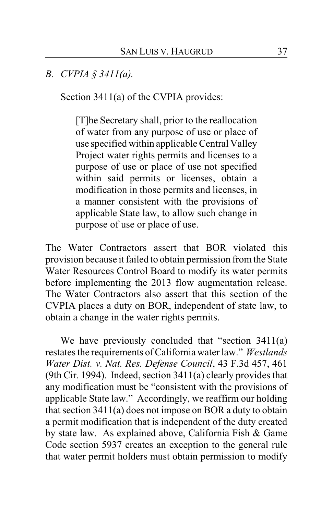*B. CVPIA § 3411(a).*

Section 3411(a) of the CVPIA provides:

[T]he Secretary shall, prior to the reallocation of water from any purpose of use or place of use specified within applicable Central Valley Project water rights permits and licenses to a purpose of use or place of use not specified within said permits or licenses, obtain a modification in those permits and licenses, in a manner consistent with the provisions of applicable State law, to allow such change in purpose of use or place of use.

The Water Contractors assert that BOR violated this provision because it failed to obtain permission fromthe State Water Resources Control Board to modify its water permits before implementing the 2013 flow augmentation release. The Water Contractors also assert that this section of the CVPIA places a duty on BOR, independent of state law, to obtain a change in the water rights permits.

We have previously concluded that "section 3411(a) restates the requirements of California water law." *Westlands Water Dist. v. Nat. Res. Defense Council*, 43 F.3d 457, 461 (9th Cir. 1994). Indeed, section 3411(a) clearly provides that any modification must be "consistent with the provisions of applicable State law." Accordingly, we reaffirm our holding that section 3411(a) does not impose on BOR a duty to obtain a permit modification that is independent of the duty created by state law. As explained above, California Fish & Game Code section 5937 creates an exception to the general rule that water permit holders must obtain permission to modify